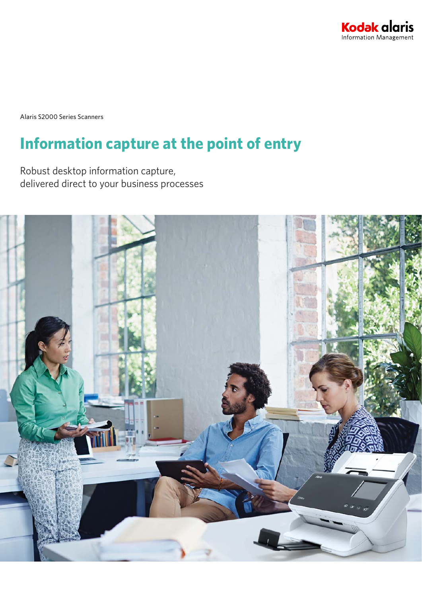

Alaris S2000 Series Scanners

# **Information capture at the point of entry**

Robust desktop information capture, delivered direct to your business processes

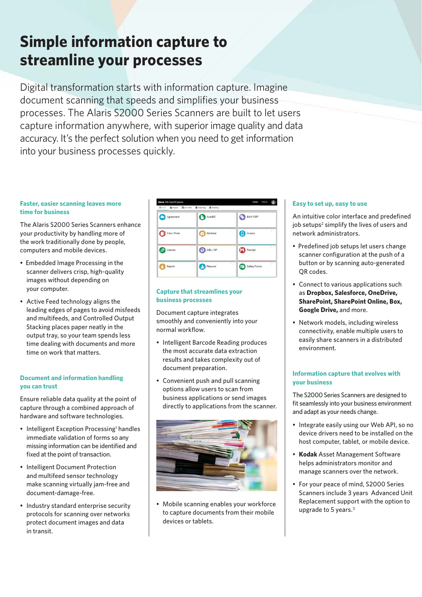# **Simple information capture to streamline your processes**

Digital transformation starts with information capture. Imagine document scanning that speeds and simplifies your business processes. The Alaris S2000 Series Scanners are built to let users capture information anywhere, with superior image quality and data accuracy. It's the perfect solution when you need to get information into your business processes quickly.

### **Faster, easier scanning leaves more time for business**

The Alaris S2000 Series Scanners enhance your productivity by handling more of the work traditionally done by people, computers and mobile devices.

- Embedded Image Processing in the scanner delivers crisp, high-quality images without depending on your computer.
- Active Feed technology aligns the leading edges of pages to avoid misfeeds and multifeeds, and Controlled Output Stacking places paper neatly in the output tray, so your team spends less time dealing with documents and more time on work that matters.

### **Document and information handling you can trust**

Ensure reliable data quality at the point of capture through a combined approach of hardware and software technologies.

- Intelligent Exception Processing<sup>1</sup> handles immediate validation of forms so any missing information can be identified and fixed at the point of transaction.
- Intelligent Document Protection and multifeed sensor technology make scanning virtually jam-free and document-damage-free.
- Industry standard enterprise security protocols for scanning over networks protect document images and data in transit.



### **Capture that streamlines your business processes**

Document capture integrates smoothly and conveniently into your normal workflow.

- Intelligent Barcode Reading produces the most accurate data extraction results and takes complexity out of document preparation.
- Convenient push and pull scanning options allow users to scan from business applications or send images directly to applications from the scanner.



• Mobile scanning enables your workforce to capture documents from their mobile devices or tablets.

### **Easy to set up, easy to use**

An intuitive color interface and predefined job setups<sup>2</sup> simplify the lives of users and network administrators.

- Predefined job setups let users change scanner configuration at the push of a button or by scanning auto-generated OR codes.
- Connect to various applications such as **Dropbox, Salesforce, OneDrive, SharePoint, SharePoint Online, Box, Google Drive,** and more.
- Network models, including wireless connectivity, enable multiple users to easily share scanners in a distributed environment.

### **Information capture that evolves with your business**

The S2000 Series Scanners are designed to fit seamlessly into your business environment and adapt as your needs change.

- Integrate easily using our Web API, so no device drivers need to be installed on the host computer, tablet, or mobile device.
- **Kodak** Asset Management Software helps administrators monitor and manage scanners over the network.
- For your peace of mind, S2000 Series Scanners include 3 years Advanced Unit Replacement support with the option to upgrade to 5 years.3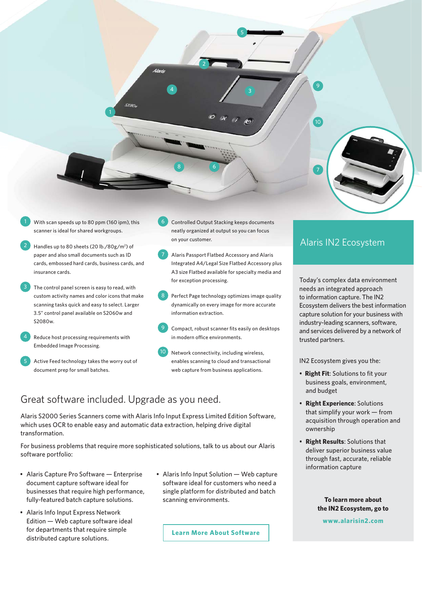

- With scan speeds up to 80 ppm (160 ipm), this scanner is ideal for shared workgroups.
- Handles up to 80 sheets (20 lb./80g/m<sup>2</sup>) of paper and also small documents such as ID cards, embossed hard cards, business cards, and insurance cards. 2
- The control panel screen is easy to read, with custom activity names and color icons that make scanning tasks quick and easy to select. Larger 3.5" control panel available on S2060w and S2080w. 3
- Reduce host processing requirements with Embedded Image Processing. 4
- Active Feed technology takes the worry out of document prep for small batches.
- Controlled Output Stacking keeps documents neatly organized at output so you can focus on your customer.
- Alaris Passport Flatbed Accessory and Alaris Integrated A4/Legal Size Flatbed Accessory plus A3 size Flatbed available for specialty media and for exception processing. 7
- Perfect Page technology optimizes image quality dynamically on every image for more accurate information extraction. 8
- Compact, robust scanner fits easily on desktops in modern office environments. 9
- Network connectivity, including wireless, enables scanning to cloud and transactional web capture from business applications. 10

# Great software included. Upgrade as you need.

Alaris S2000 Series Scanners come with Alaris Info Input Express Limited Edition Software, which uses OCR to enable easy and automatic data extraction, helping drive digital transformation.

6

For business problems that require more sophisticated solutions, talk to us about our Alaris software portfolio:

- Alaris Capture Pro Software Enterprise document capture software ideal for businesses that require high performance, fully-featured batch capture solutions.
- Alaris Info Input Express Network Edition — Web capture software ideal for departments that require simple distributed capture solutions.
- Alaris Info Input Solution Web capture software ideal for customers who need a single platform for distributed and batch scanning environments.

**Learn More About Software**

## Alaris IN2 Ecosystem

Today's complex data environment needs an integrated approach to information capture. The IN2 Ecosystem delivers the best information capture solution for your business with industry-leading scanners, software, and services delivered by a network of trusted partners.

IN2 Ecosystem gives you the:

- **Right Fit**: Solutions to fit your business goals, environment, and budget
- **Right Experience**: Solutions that simplify your work — from acquisition through operation and ownership
- **Right Results**: Solutions that deliver superior business value through fast, accurate, reliable information capture

## **To learn more about the IN2 Ecosystem, go to**

**www.alarisin2.com**